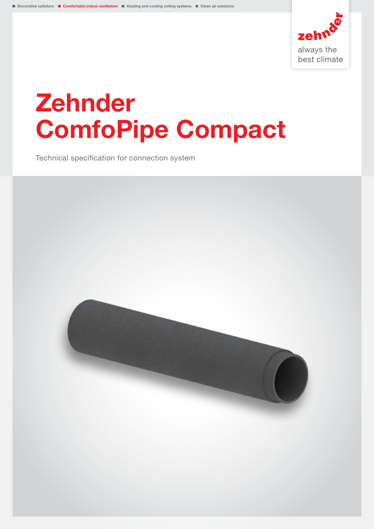

# Zehnder ComfoPipe Compact

Technical specification for connection system

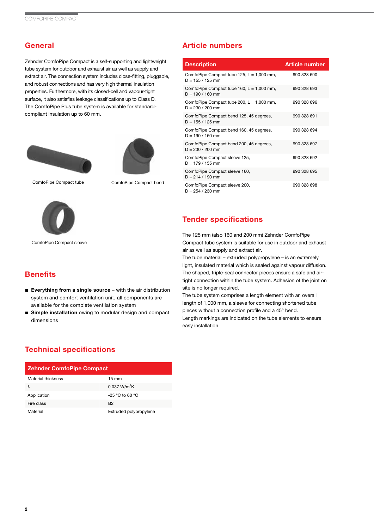## **General**

Zehnder ComfoPipe Compact is a self-supporting and lightweight tube system for outdoor and exhaust air as well as supply and extract air. The connection system includes close-fitting, pluggable, and robust connections and has very high thermal insulation properties. Furthermore, with its closed-cell and vapour-tight surface, it also satisfies leakage classifications up to Class D. The ComfoPipe Plus tube system is available for standardcompliant insulation up to 60 mm.





ComfoPipe Compact tube ComfoPipe Compact bend



ComfoPipe Compact sleeve

**Benefits** 

dimensions

### Article numbers

| <b>Description</b>                                                 | <b>Article number</b> |
|--------------------------------------------------------------------|-----------------------|
| ComfoPipe Compact tube $125$ , L = 1,000 mm,<br>$D = 155 / 125$ mm | 990 328 690           |
| ComfoPipe Compact tube 160, $L = 1,000$ mm,<br>$D = 190 / 160$ mm  | 990 328 693           |
| ComfoPipe Compact tube 200, $L = 1,000$ mm,<br>$D = 230 / 200$ mm  | 990 328 696           |
| ComfoPipe Compact bend 125, 45 degrees,<br>$D = 155 / 125$ mm      | 990 328 691           |
| ComfoPipe Compact bend 160, 45 degrees,<br>$D = 190 / 160$ mm      | 990 328 694           |
| ComfoPipe Compact bend 200, 45 degrees,<br>$D = 230 / 200$ mm      | 990 328 697           |
| ComfoPipe Compact sleeve 125,<br>$D = 179/155$ mm                  | 990 328 692           |
| ComfoPipe Compact sleeve 160,<br>$D = 214 / 190$ mm                | 990 328 695           |
| ComfoPipe Compact sleeve 200,<br>$D = 254 / 230$ mm                | 990 328 698           |

#### Tender specifications

The 125 mm (also 160 and 200 mm) Zehnder ComfoPipe Compact tube system is suitable for use in outdoor and exhaust air as well as supply and extract air.

The tube material – extruded polypropylene – is an extremely light, insulated material which is sealed against vapour diffusion. The shaped, triple-seal connector pieces ensure a safe and airtight connection within the tube system. Adhesion of the joint on site is no longer required.

The tube system comprises a length element with an overall length of 1,000 mm, a sleeve for connecting shortened tube pieces without a connection profile and a 45° bend. Length markings are indicated on the tube elements to ensure easy installation.

# Technical specifications

| <b>Zehnder ComfoPipe Compact</b> |                          |  |  |  |
|----------------------------------|--------------------------|--|--|--|
| Material thickness               | $15 \text{ mm}$          |  |  |  |
| λ                                | 0.037 W/m <sup>2</sup> K |  |  |  |
| Application                      | $-25$ °C to 60 °C        |  |  |  |
| Fire class                       | B <sub>2</sub>           |  |  |  |
| Material                         | Extruded polypropylene   |  |  |  |

■ Everything from a single source – with the air distribution system and comfort ventilation unit, all components are

■ Simple installation owing to modular design and compact

available for the complete ventilation system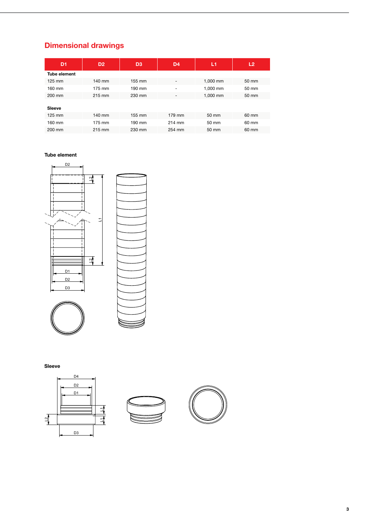# Dimensional drawings

| D <sub>1</sub>      | D <sub>2</sub> | D <sub>3</sub> | D <sub>4</sub> | L1       | L <sub>2</sub> |
|---------------------|----------------|----------------|----------------|----------|----------------|
| <b>Tube element</b> |                |                |                |          |                |
| $125 \text{ mm}$    | 140 mm         | 155 mm         | ۰              | 1,000 mm | 50 mm          |
| 160 mm              | 175 mm         | 190 mm         | ۰              | 1.000 mm | 50 mm          |
| 200 mm              | 215 mm         | 230 mm         | ۰              | 1,000 mm | 50 mm          |
| <b>Sleeve</b>       |                |                |                |          |                |
|                     |                |                |                |          |                |
| $125 \text{ mm}$    | 140 mm         | 155 mm         | 179 mm         | 50 mm    | 60 mm          |
| 160 mm              | 175 mm         | 190 mm         | 214 mm         | 50 mm    | 60 mm          |
| 200 mm              | 215 mm         | 230 mm         | 254 mm         | 50 mm    | 60 mm          |

#### Tube element



Sleeve





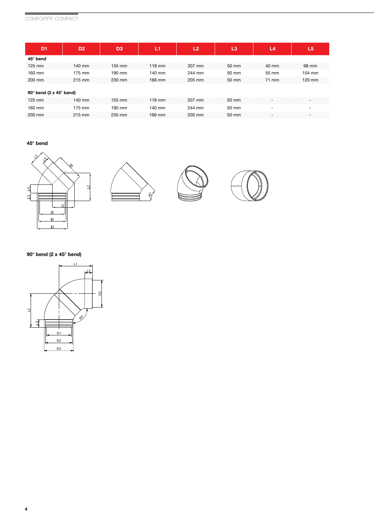# COMFOPIPE COMPACT

| D <sub>1</sub>                         | D <sub>2</sub> | D <sub>3</sub>   | L1       | L2     | L3    | L4                       | L5                       |  |
|----------------------------------------|----------------|------------------|----------|--------|-------|--------------------------|--------------------------|--|
| 45° bend                               |                |                  |          |        |       |                          |                          |  |
| $125$ mm                               | 140 mm         | $155 \text{ mm}$ | $118$ mm | 207 mm | 50 mm | 40 mm                    | 98 mm                    |  |
| 160 mm                                 | 175 mm         | 190 mm           | 140 mm   | 244 mm | 50 mm | 55 mm                    | 104 mm                   |  |
| 200 mm                                 | 215 mm         | 230 mm           | 166 mm   | 205 mm | 50 mm | 71 mm                    | 120 mm                   |  |
| $90^\circ$ bend (2 x 45 $^\circ$ bend) |                |                  |          |        |       |                          |                          |  |
| $125$ mm                               | 140 mm         | 155 mm           | $118$ mm | 207 mm | 50 mm | $\overline{\phantom{a}}$ | $\overline{\phantom{0}}$ |  |
| 160 mm                                 | 175 mm         | 190 mm           | 140 mm   | 244 mm | 50 mm | $\overline{\phantom{a}}$ | -                        |  |
| 200 mm                                 | 215 mm         | 230 mm           | 166 mm   | 205 mm | 50 mm | $\overline{\phantom{a}}$ | $\overline{\phantom{0}}$ |  |

#### 45° bend









#### 90° bend (2 x 45° bend)

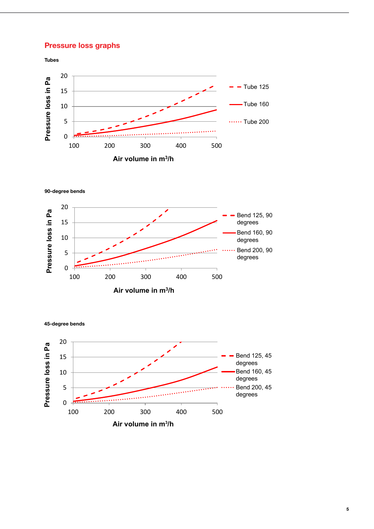#### **Pressure loss graphs** and the contract of the contract of the contract of the contract of the contract of the contract of the contract of the contract of the contract of the contract of the contract of the contract of the  $500$   $500$



 $\sim$  50,000  $\sim$  50,000  $\sim$  50,000  $\sim$  50,000  $\sim$  50,000  $\sim$  50,000  $\sim$  50,000  $\sim$ 

90-degree bends



45-degree bends